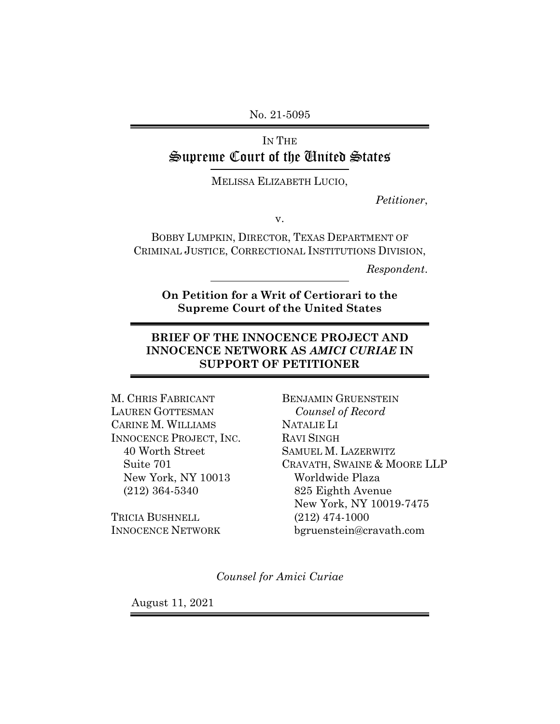No. 21-5095

IN THE Supreme Court of the United States

MELISSA ELIZABETH LUCIO,

*Petitioner*,

v.

BOBBY LUMPKIN, DIRECTOR, TEXAS DEPARTMENT OF CRIMINAL JUSTICE, CORRECTIONAL INSTITUTIONS DIVISION,

*Respondent*.

**On Petition for a Writ of Certiorari to the Supreme Court of the United States**

## **BRIEF OF THE INNOCENCE PROJECT AND INNOCENCE NETWORK AS** *AMICI CURIAE* **IN SUPPORT OF PETITIONER**

M. CHRIS FABRICANT LAUREN GOTTESMAN CARINE M. WILLIAMS INNOCENCE PROJECT, INC. 40 Worth Street Suite 701 New York, NY 10013 (212) 364-5340

TRICIA BUSHNELL INNOCENCE NETWORK

BENJAMIN GRUENSTEIN *Counsel of Record* NATALIE LI RAVI SINGH SAMUEL M. LAZERWITZ CRAVATH, SWAINE & MOORE LLP Worldwide Plaza 825 Eighth Avenue New York, NY 10019-7475 (212) 474-1000 bgruenstein@cravath.com

*Counsel for Amici Curiae*

August 11, 2021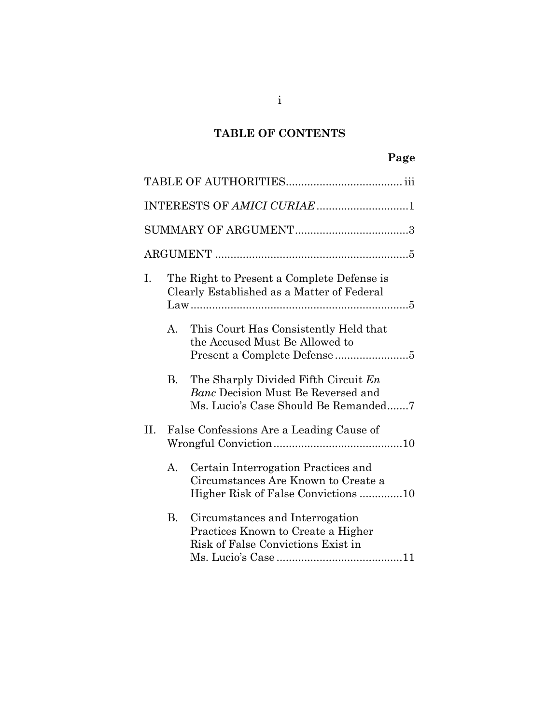## **TABLE OF CONTENTS**

|    |         | INTERESTS OF AMICI CURIAE 1                                                                                        |  |
|----|---------|--------------------------------------------------------------------------------------------------------------------|--|
|    |         |                                                                                                                    |  |
|    |         |                                                                                                                    |  |
| Ι. |         | The Right to Present a Complete Defense is<br>Clearly Established as a Matter of Federal                           |  |
|    | $A_{-}$ | This Court Has Consistently Held that<br>the Accused Must Be Allowed to                                            |  |
|    | В.      | The Sharply Divided Fifth Circuit En<br>Banc Decision Must Be Reversed and<br>Ms. Lucio's Case Should Be Remanded7 |  |
| Η. |         | False Confessions Are a Leading Cause of                                                                           |  |
|    | А.      | Certain Interrogation Practices and<br>Circumstances Are Known to Create a<br>Higher Risk of False Convictions 10  |  |
|    | Β.      | Circumstances and Interrogation<br>Practices Known to Create a Higher<br>Risk of False Convictions Exist in        |  |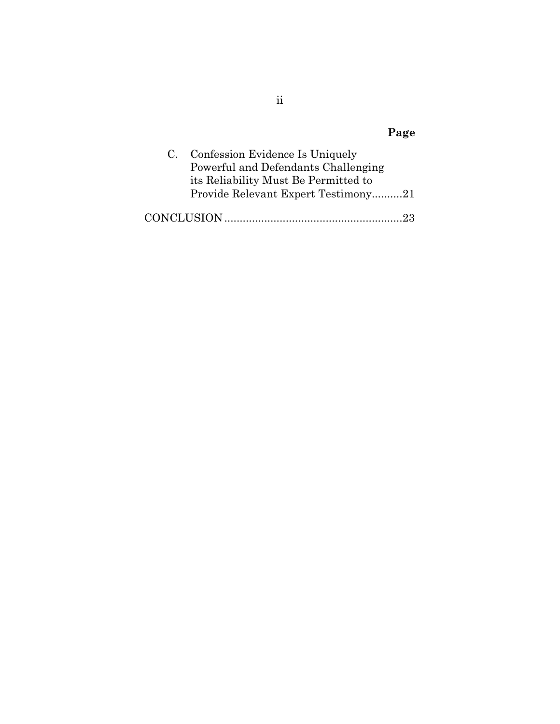|                   | Page                                                                                                                                                  |
|-------------------|-------------------------------------------------------------------------------------------------------------------------------------------------------|
| $\mathbf{C}$ .    | Confession Evidence Is Uniquely<br>Powerful and Defendants Challenging<br>its Reliability Must Be Permitted to<br>Provide Relevant Expert Testimony21 |
| <b>CONCLUSION</b> |                                                                                                                                                       |

ii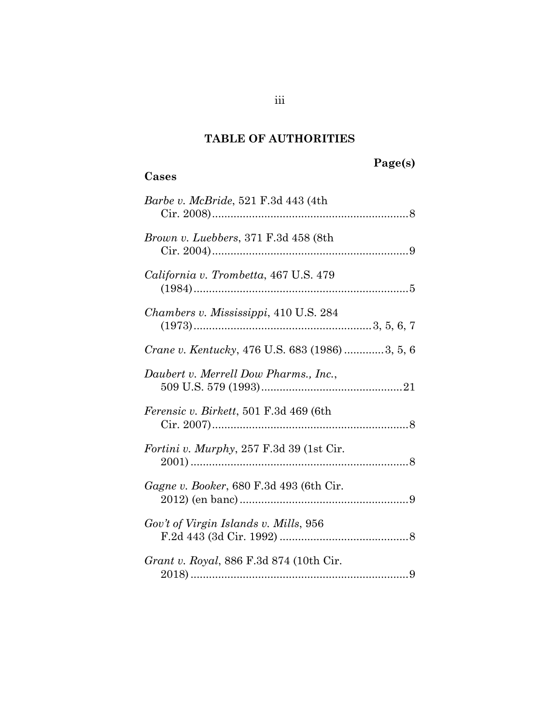## **TABLE OF AUTHORITIES**

# **Page(s)**

# <span id="page-3-0"></span>**Cases**

| <i>Barbe v. McBride</i> , 521 F.3d 443 (4th            |
|--------------------------------------------------------|
| <i>Brown v. Luebbers, 371 F.3d 458 (8th</i>            |
| California v. Trombetta, 467 U.S. 479                  |
| Chambers v. Mississippi, 410 U.S. 284                  |
| <i>Crane v. Kentucky</i> , 476 U.S. 683 (1986) 3, 5, 6 |
| Daubert v. Merrell Dow Pharms., Inc.,                  |
| <i>Ferensic v. Birkett,</i> 501 F.3d 469 (6th)         |
| <i>Fortini v. Murphy</i> , 257 F.3d 39 (1st Cir.       |
| <i>Gagne v. Booker</i> , 680 F.3d 493 (6th Cir.        |
| Gov't of Virgin Islands v. Mills, 956                  |
| <i>Grant v. Royal</i> , 886 F.3d 874 (10th Cir.        |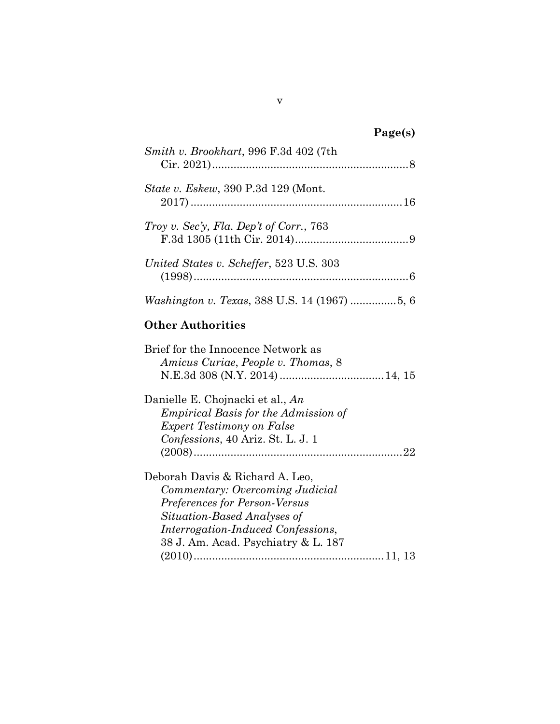| Smith v. Brookhart, 996 F.3d 402 (7th      |
|--------------------------------------------|
| <i>State v. Eskew, 390 P.3d 129 (Mont.</i> |
| Troy v. Sec'y, Fla. Dep't of Corr., 763    |
| United States v. Scheffer, 523 U.S. 303    |
|                                            |

# **Other Authorities**

| Brief for the Innocence Network as<br>Amicus Curiae, People v. Thomas, 8 |
|--------------------------------------------------------------------------|
|                                                                          |
| Danielle E. Chojnacki et al., An                                         |
| <i>Empirical Basis for the Admission of</i>                              |
| <b>Expert Testimony on False</b>                                         |
| Confessions, 40 Ariz. St. L. J. 1                                        |
|                                                                          |
| Deborah Davis & Richard A. Leo,                                          |
| Commentary: Overcoming Judicial                                          |
| Preferences for Person-Versus                                            |
| Situation-Based Analyses of                                              |
| <i>Interrogation-Induced Confessions,</i>                                |
| 38 J. Am. Acad. Psychiatry & L. 187                                      |
|                                                                          |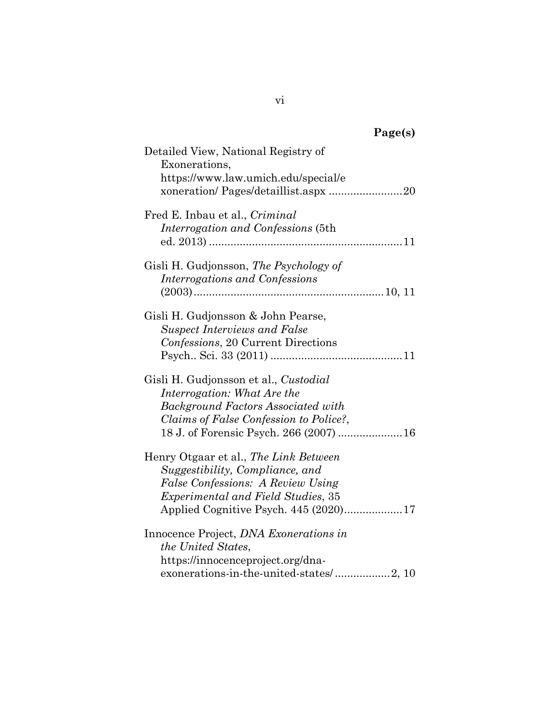| Detailed View, National Registry of<br>Exonerations,                                                            |  |
|-----------------------------------------------------------------------------------------------------------------|--|
| https://www.law.umich.edu/special/e<br>xoneration/ Pages/detaillist.aspx 20                                     |  |
| Fred E. Inbau et al., Criminal                                                                                  |  |
| Interrogation and Confessions (5th                                                                              |  |
| Gisli H. Gudjonsson, The Psychology of<br>Interrogations and Confessions                                        |  |
|                                                                                                                 |  |
| Gisli H. Gudjonsson & John Pearse,<br><b>Suspect Interviews and False</b><br>Confessions, 20 Current Directions |  |
|                                                                                                                 |  |
| Gisli H. Gudjonsson et al., <i>Custodial</i><br>Interrogation: What Are the                                     |  |
| <b>Background Factors Associated with</b>                                                                       |  |
| Claims of False Confession to Police?,                                                                          |  |
| 18 J. of Forensic Psych. 266 (2007)  16                                                                         |  |
| Henry Otgaar et al., The Link Between                                                                           |  |
| Suggestibility, Compliance, and                                                                                 |  |
| False Confessions: A Review Using                                                                               |  |
| <i>Experimental and Field Studies, 35</i>                                                                       |  |
|                                                                                                                 |  |
| Innocence Project, <i>DNA Exonerations in</i>                                                                   |  |
| <i>the United States,</i>                                                                                       |  |
| https://innocenceproject.org/dna-                                                                               |  |
| exonerations-in-the-united-states/2, 10                                                                         |  |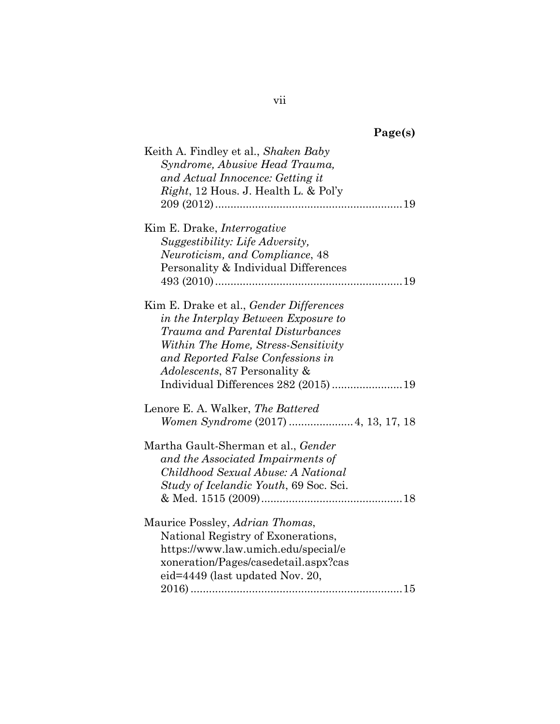|  | 'age(s) |  |
|--|---------|--|
|  |         |  |

| Keith A. Findley et al., Shaken Baby     |
|------------------------------------------|
| Syndrome, Abusive Head Trauma,           |
| and Actual Innocence: Getting it         |
| Right, 12 Hous. J. Health L. & Pol'y     |
|                                          |
| Kim E. Drake, Interrogative              |
| Suggestibility: Life Adversity,          |
| Neuroticism, and Compliance, 48          |
| Personality & Individual Differences     |
|                                          |
| Kim E. Drake et al., Gender Differences  |
| in the Interplay Between Exposure to     |
| Trauma and Parental Disturbances         |
| Within The Home, Stress-Sensitivity      |
| and Reported False Confessions in        |
| <i>Adolescents, 87 Personality &amp;</i> |
| Individual Differences 282 (2015)19      |
| Lenore E. A. Walker, The Battered        |
| Women Syndrome (2017)  4, 13, 17, 18     |
| Martha Gault-Sherman et al., Gender      |
| and the Associated Impairments of        |
| Childhood Sexual Abuse: A National       |
| Study of Icelandic Youth, 69 Soc. Sci.   |
|                                          |
| Maurice Possley, Adrian Thomas,          |
| National Registry of Exonerations,       |
| https://www.law.umich.edu/special/e      |
| xoneration/Pages/casedetail.aspx?cas     |
| eid=4449 (last updated Nov. 20,          |
|                                          |

vii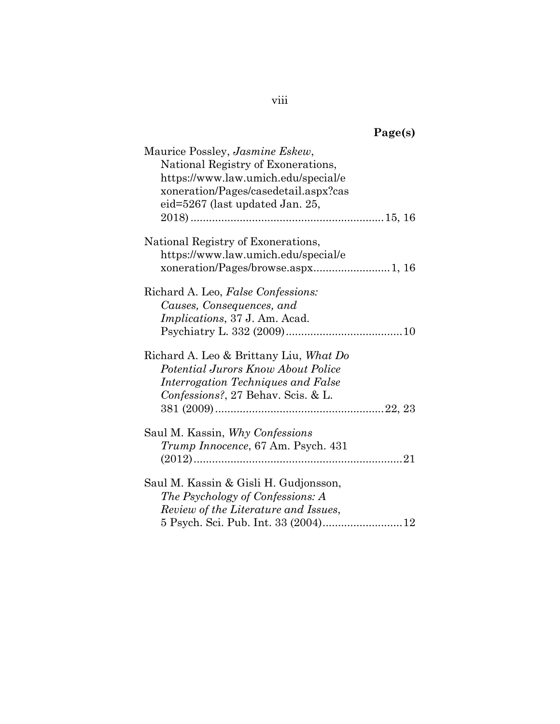| Maurice Possley, <i>Jasmine Eskew</i> ,   |
|-------------------------------------------|
| National Registry of Exonerations,        |
| https://www.law.umich.edu/special/e       |
| xoneration/Pages/casedetail.aspx?cas      |
| eid=5267 (last updated Jan. 25,           |
|                                           |
| National Registry of Exonerations,        |
| https://www.law.umich.edu/special/e       |
|                                           |
| Richard A. Leo, False Confessions:        |
| Causes, Consequences, and                 |
| Implications, 37 J. Am. Acad.             |
|                                           |
| Richard A. Leo & Brittany Liu, What Do    |
| <i>Potential Jurors Know About Police</i> |
| Interrogation Techniques and False        |
| Confessions?, 27 Behav. Scis. & L.        |
|                                           |
| Saul M. Kassin, Why Confessions           |
| Trump Innocence, 67 Am. Psych. 431        |
|                                           |
| Saul M. Kassin & Gisli H. Gudjonsson,     |
| The Psychology of Confessions: A          |
| Review of the Literature and Issues,      |
|                                           |
|                                           |

viii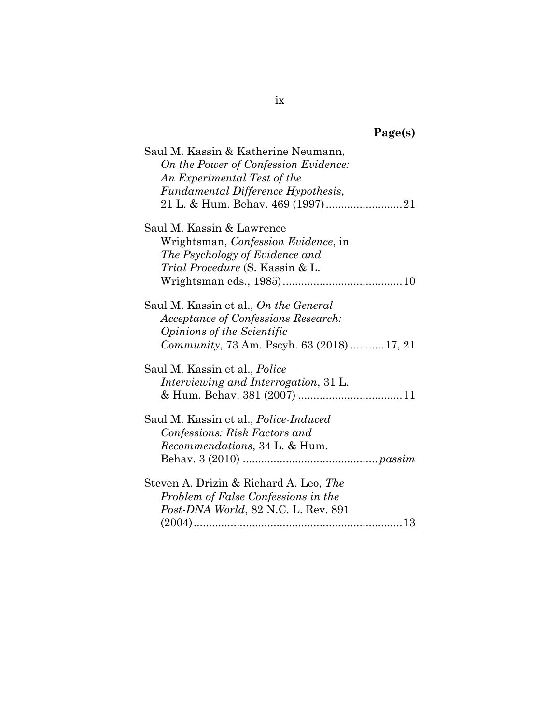| Saul M. Kassin & Katherine Neumann,          |
|----------------------------------------------|
| On the Power of Confession Evidence:         |
| An Experimental Test of the                  |
| Fundamental Difference Hypothesis,           |
|                                              |
| Saul M. Kassin & Lawrence                    |
| Wrightsman, Confession Evidence, in          |
| The Psychology of Evidence and               |
| <i>Trial Procedure</i> (S. Kassin & L.       |
|                                              |
| Saul M. Kassin et al., On the General        |
| Acceptance of Confessions Research:          |
| <i><b>Opinions of the Scientific</b></i>     |
| Community, 73 Am. Pscyh. 63 (2018) 17, 21    |
| Saul M. Kassin et al., <i>Police</i>         |
| Interviewing and Interrogation, 31 L.        |
|                                              |
| Saul M. Kassin et al., <i>Police-Induced</i> |
| Confessions: Risk Factors and                |
| <i>Recommendations</i> , 34 L. & Hum.        |
|                                              |
| Steven A. Drizin & Richard A. Leo, The       |
| Problem of False Confessions in the          |
| Post-DNA World, 82 N.C. L. Rev. 891          |
|                                              |
|                                              |

ix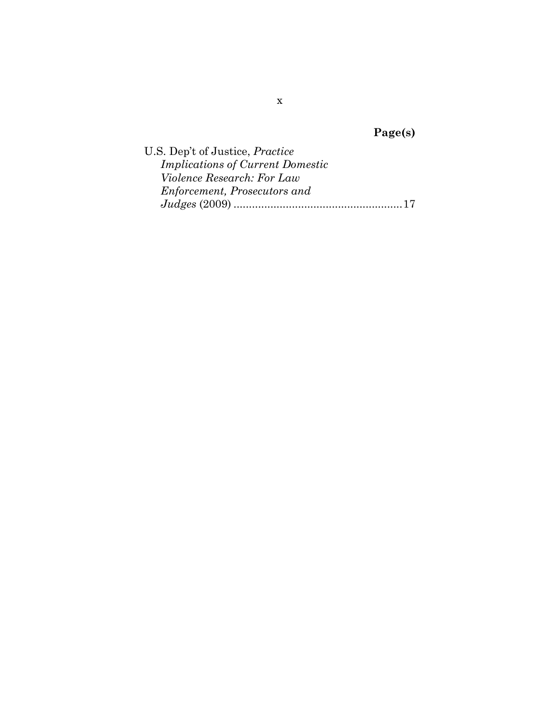| U.S. Dep't of Justice, <i>Practice</i>  |  |
|-----------------------------------------|--|
| <b>Implications of Current Domestic</b> |  |
| <i>Violence Research: For Law</i>       |  |
| Enforcement, Prosecutors and            |  |
|                                         |  |

x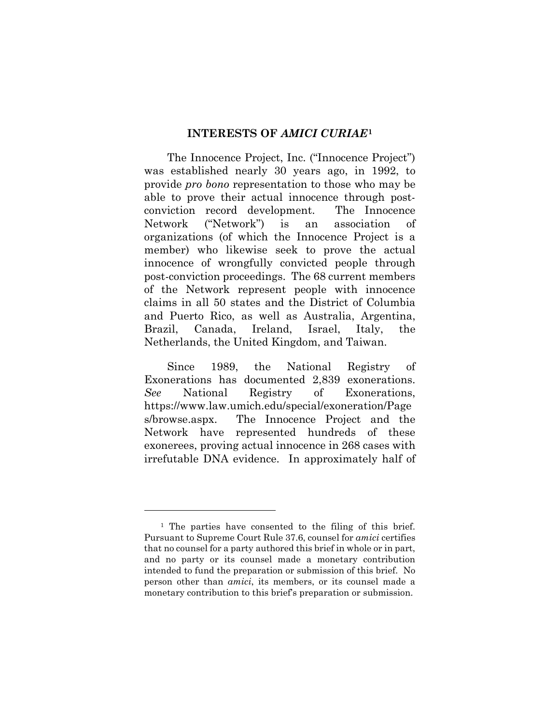#### **INTERESTS OF** *AMICI CURIAE***[1](#page-11-2)**

<span id="page-11-0"></span>The Innocence Project, Inc. ("Innocence Project") was established nearly 30 years ago, in 1992, to provide *pro bono* representation to those who may be able to prove their actual innocence through postconviction record development. The Innocence Network ("Network") is an association of organizations (of which the Innocence Project is a member) who likewise seek to prove the actual innocence of wrongfully convicted people through post-conviction proceedings. The 68 current members of the Network represent people with innocence claims in all 50 states and the District of Columbia and Puerto Rico, as well as Australia, Argentina, Brazil, Canada, Ireland, Israel, Italy, the Netherlands, the United Kingdom, and Taiwan.

<span id="page-11-1"></span>Since 1989, the National Registry of Exonerations has documented 2,839 exonerations. *See* National Registry of Exonerations, https://www.law.umich.edu/special/exoneration/Page s/browse.aspx. The Innocence Project and the Network have represented hundreds of these exonerees, proving actual innocence in 268 cases with irrefutable DNA evidence. In approximately half of

<span id="page-11-2"></span><sup>&</sup>lt;sup>1</sup> The parties have consented to the filing of this brief. Pursuant to Supreme Court Rule 37.6, counsel for *amici* certifies that no counsel for a party authored this brief in whole or in part, and no party or its counsel made a monetary contribution intended to fund the preparation or submission of this brief. No person other than *amici*, its members, or its counsel made a monetary contribution to this brief's preparation or submission.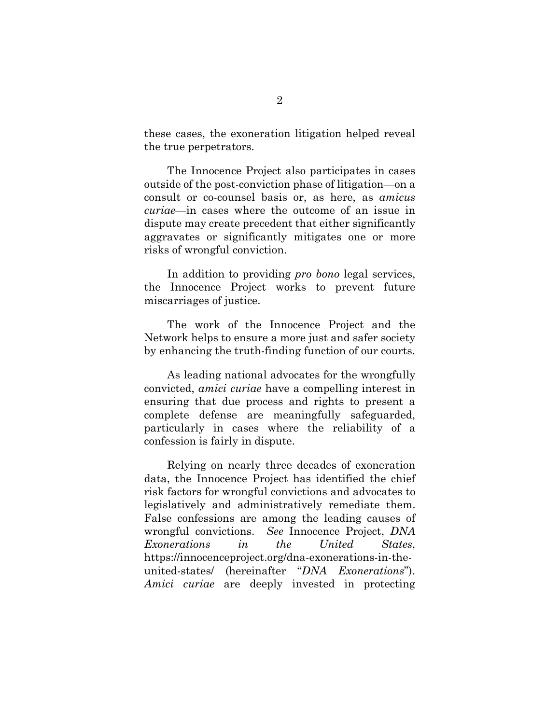these cases, the exoneration litigation helped reveal the true perpetrators.

The Innocence Project also participates in cases outside of the post-conviction phase of litigation—on a consult or co-counsel basis or, as here, as *amicus curiae—*in cases where the outcome of an issue in dispute may create precedent that either significantly aggravates or significantly mitigates one or more risks of wrongful conviction.

In addition to providing *pro bono* legal services, the Innocence Project works to prevent future miscarriages of justice.

The work of the Innocence Project and the Network helps to ensure a more just and safer society by enhancing the truth-finding function of our courts.

As leading national advocates for the wrongfully convicted, *amici curiae* have a compelling interest in ensuring that due process and rights to present a complete defense are meaningfully safeguarded, particularly in cases where the reliability of a confession is fairly in dispute.

<span id="page-12-0"></span>Relying on nearly three decades of exoneration data, the Innocence Project has identified the chief risk factors for wrongful convictions and advocates to legislatively and administratively remediate them. False confessions are among the leading causes of wrongful convictions. *See* Innocence Project, *DNA Exonerations in the United States*, https://innocenceproject.org/dna-exonerations-in-theunited-states/ (hereinafter "*DNA Exonerations*"). *Amici curiae* are deeply invested in protecting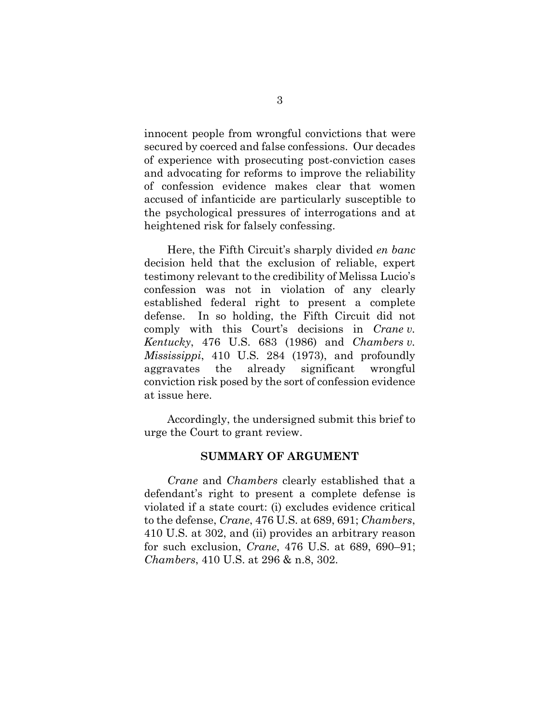innocent people from wrongful convictions that were secured by coerced and false confessions. Our decades of experience with prosecuting post-conviction cases and advocating for reforms to improve the reliability of confession evidence makes clear that women accused of infanticide are particularly susceptible to the psychological pressures of interrogations and at heightened risk for falsely confessing.

Here, the Fifth Circuit's sharply divided *en banc* decision held that the exclusion of reliable, expert testimony relevant to the credibility of Melissa Lucio's confession was not in violation of any clearly established federal right to present a complete defense. In so holding, the Fifth Circuit did not comply with this Court's decisions in *Crane v. Kentucky*, 476 U.S. 683 (1986) and *Chambers v. Mississippi*, 410 U.S. 284 (1973), and profoundly aggravates the already significant wrongful conviction risk posed by the sort of confession evidence at issue here.

Accordingly, the undersigned submit this brief to urge the Court to grant review.

#### <span id="page-13-2"></span><span id="page-13-1"></span>**SUMMARY OF ARGUMENT**

<span id="page-13-0"></span>*Crane* and *Chambers* clearly established that a defendant's right to present a complete defense is violated if a state court: (i) excludes evidence critical to the defense, *Crane*, 476 U.S. at 689, 691; *Chambers*, 410 U.S. at 302, and (ii) provides an arbitrary reason for such exclusion, *Crane*, 476 U.S. at 689, 690–91; *Chambers*, 410 U.S. at 296 & n.8, 302.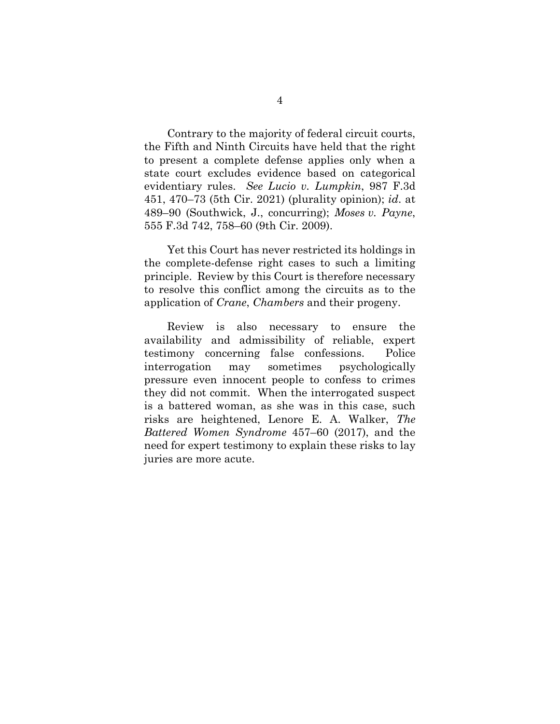<span id="page-14-0"></span>Contrary to the majority of federal circuit courts, the Fifth and Ninth Circuits have held that the right to present a complete defense applies only when a state court excludes evidence based on categorical evidentiary rules. *See Lucio v. Lumpkin*, 987 F.3d 451, 470–73 (5th Cir. 2021) (plurality opinion); *id*. at 489–90 (Southwick, J., concurring); *Moses v. Payne*, 555 F.3d 742, 758–60 (9th Cir. 2009).

<span id="page-14-1"></span>Yet this Court has never restricted its holdings in the complete-defense right cases to such a limiting principle. Review by this Court is therefore necessary to resolve this conflict among the circuits as to the application of *Crane*, *Chambers* and their progeny.

<span id="page-14-2"></span>Review is also necessary to ensure the availability and admissibility of reliable, expert testimony concerning false confessions. Police interrogation may sometimes psychologically pressure even innocent people to confess to crimes they did not commit. When the interrogated suspect is a battered woman, as she was in this case, such risks are heightened, Lenore E. A. Walker, *The Battered Women Syndrome* 457–60 (2017), and the need for expert testimony to explain these risks to lay juries are more acute.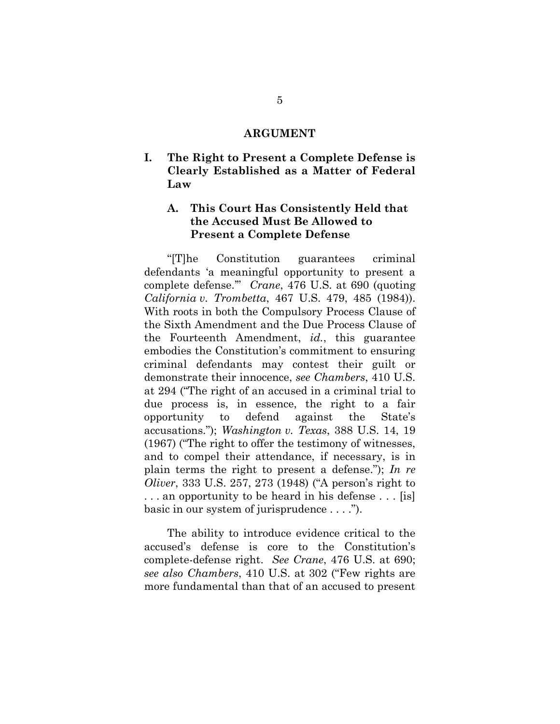#### **ARGUMENT**

<span id="page-15-1"></span><span id="page-15-0"></span>**I. The Right to Present a Complete Defense is Clearly Established as a Matter of Federal Law**

### <span id="page-15-2"></span>**A. This Court Has Consistently Held that the Accused Must Be Allowed to Present a Complete Defense**

<span id="page-15-5"></span><span id="page-15-4"></span><span id="page-15-3"></span>"[T]he Constitution guarantees criminal defendants 'a meaningful opportunity to present a complete defense.'" *Crane*, 476 U.S. at 690 (quoting *California v. Trombetta*, 467 U.S. 479, 485 (1984)). With roots in both the Compulsory Process Clause of the Sixth Amendment and the Due Process Clause of the Fourteenth Amendment, *id.*, this guarantee embodies the Constitution's commitment to ensuring criminal defendants may contest their guilt or demonstrate their innocence, *see Chambers*, 410 U.S. at 294 ("The right of an accused in a criminal trial to due process is, in essence, the right to a fair opportunity to defend against the State's accusations."); *Washington v. Texas*, 388 U.S. 14, 19 (1967) ("The right to offer the testimony of witnesses, and to compel their attendance, if necessary, is in plain terms the right to present a defense."); *In re Oliver*, 333 U.S. 257, 273 (1948) ("A person's right to . . . an opportunity to be heard in his defense . . . [is] basic in our system of jurisprudence . . . .").

<span id="page-15-7"></span><span id="page-15-6"></span>The ability to introduce evidence critical to the accused's defense is core to the Constitution's complete-defense right. *See Crane*, 476 U.S. at 690; *see also Chambers*, 410 U.S. at 302 ("Few rights are more fundamental than that of an accused to present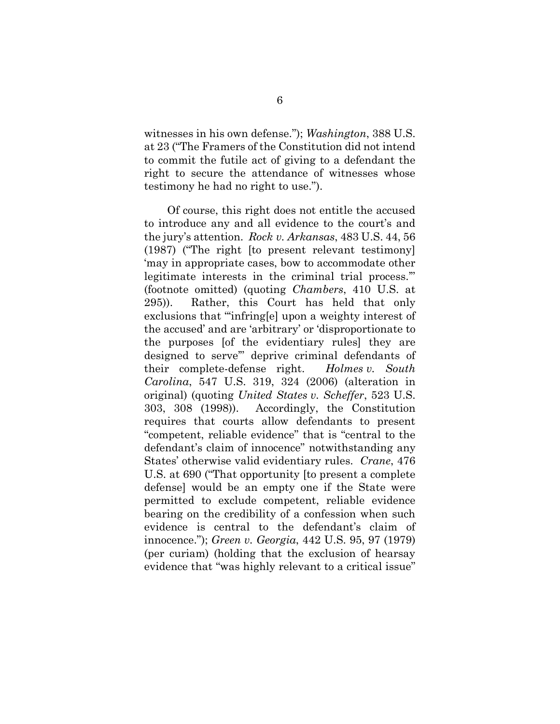<span id="page-16-6"></span>witnesses in his own defense."); *Washington*, 388 U.S. at 23 ("The Framers of the Constitution did not intend to commit the futile act of giving to a defendant the right to secure the attendance of witnesses whose testimony he had no right to use.").

<span id="page-16-5"></span><span id="page-16-4"></span><span id="page-16-3"></span><span id="page-16-2"></span><span id="page-16-1"></span><span id="page-16-0"></span>Of course, this right does not entitle the accused to introduce any and all evidence to the court's and the jury's attention. *Rock v. Arkansas*, 483 U.S. 44, 56 (1987) ("The right [to present relevant testimony] 'may in appropriate cases, bow to accommodate other legitimate interests in the criminal trial process.'" (footnote omitted) (quoting *Chambers*, 410 U.S. at 295)). Rather, this Court has held that only exclusions that "'infring[e] upon a weighty interest of the accused' and are 'arbitrary' or 'disproportionate to the purposes [of the evidentiary rules] they are designed to serve'" deprive criminal defendants of their complete-defense right. *Holmes v. South Carolina*, 547 U.S. 319, 324 (2006) (alteration in original) (quoting *United States v. Scheffer*, 523 U.S. 303, 308 (1998)). Accordingly, the Constitution requires that courts allow defendants to present "competent, reliable evidence" that is "central to the defendant's claim of innocence" notwithstanding any States' otherwise valid evidentiary rules. *Crane*, 476 U.S. at 690 ("That opportunity [to present a complete defense] would be an empty one if the State were permitted to exclude competent, reliable evidence bearing on the credibility of a confession when such evidence is central to the defendant's claim of innocence."); *Green v. Georgia*, 442 U.S. 95, 97 (1979) (per curiam) (holding that the exclusion of hearsay evidence that "was highly relevant to a critical issue"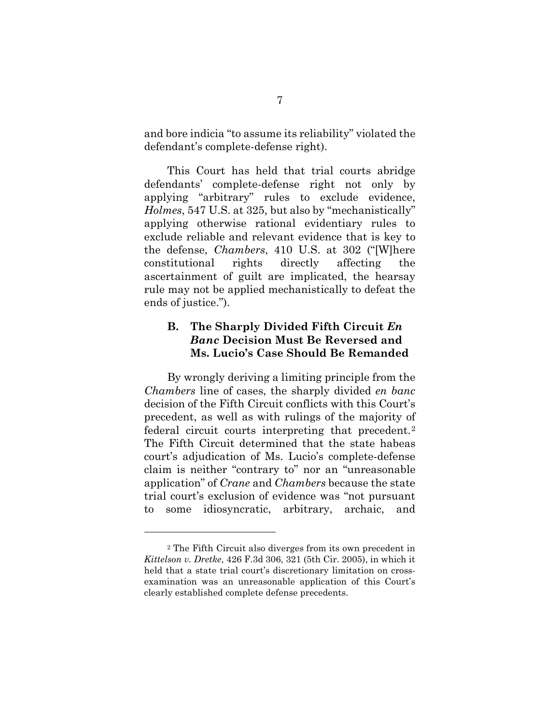and bore indicia "to assume its reliability" violated the defendant's complete-defense right).

<span id="page-17-2"></span>This Court has held that trial courts abridge defendants' complete-defense right not only by applying "arbitrary" rules to exclude evidence, *Holmes*, 547 U.S. at 325, but also by "mechanistically" applying otherwise rational evidentiary rules to exclude reliable and relevant evidence that is key to the defense, *Chambers*, 410 U.S. at 302 ("[W]here constitutional rights directly affecting the ascertainment of guilt are implicated, the hearsay rule may not be applied mechanistically to defeat the ends of justice.").

### <span id="page-17-1"></span><span id="page-17-0"></span>**B. The Sharply Divided Fifth Circuit** *En Banc* **Decision Must Be Reversed and Ms. Lucio's Case Should Be Remanded**

By wrongly deriving a limiting principle from the *Chambers* line of cases, the sharply divided *en banc* decision of the Fifth Circuit conflicts with this Court's precedent, as well as with rulings of the majority of federal circuit courts interpreting that precedent.[2](#page-17-4) The Fifth Circuit determined that the state habeas court's adjudication of Ms. Lucio's complete-defense claim is neither "contrary to" nor an "unreasonable application" of *Crane* and *Chambers* because the state trial court's exclusion of evidence was "not pursuant to some idiosyncratic, arbitrary, archaic, and

<span id="page-17-4"></span><span id="page-17-3"></span><sup>2</sup> The Fifth Circuit also diverges from its own precedent in *Kittelson v. Dretke*, 426 F.3d 306, 321 (5th Cir. 2005), in which it held that a state trial court's discretionary limitation on crossexamination was an unreasonable application of this Court's clearly established complete defense precedents.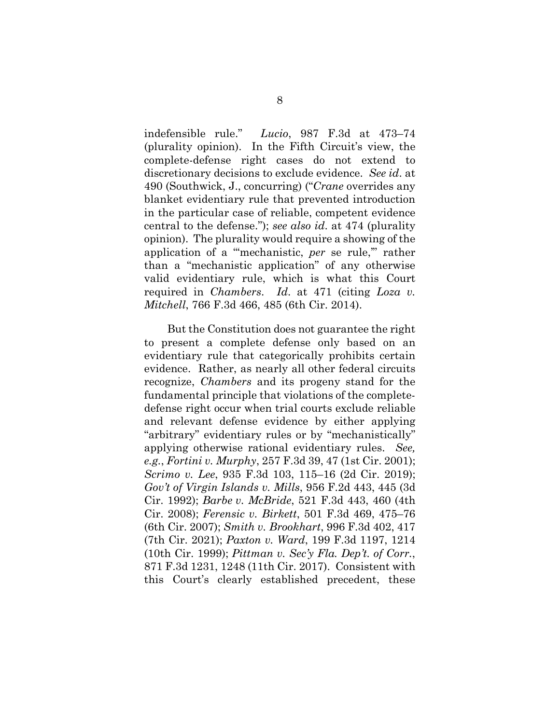<span id="page-18-5"></span>indefensible rule." *Lucio*, 987 F.3d at 473–74 (plurality opinion). In the Fifth Circuit's view, the complete-defense right cases do not extend to discretionary decisions to exclude evidence. *See id*. at 490 (Southwick, J., concurring) ("*Crane* overrides any blanket evidentiary rule that prevented introduction in the particular case of reliable, competent evidence central to the defense."); *see also id*. at 474 (plurality opinion). The plurality would require a showing of the application of a "'mechanistic, *per* se rule,'" rather than a "mechanistic application" of any otherwise valid evidentiary rule, which is what this Court required in *Chambers*. *Id*. at 471 (citing *Loza v. Mitchell*, 766 F.3d 466, 485 (6th Cir. 2014).

<span id="page-18-9"></span><span id="page-18-8"></span><span id="page-18-7"></span><span id="page-18-6"></span><span id="page-18-4"></span><span id="page-18-3"></span><span id="page-18-2"></span><span id="page-18-1"></span><span id="page-18-0"></span>But the Constitution does not guarantee the right to present a complete defense only based on an evidentiary rule that categorically prohibits certain evidence. Rather, as nearly all other federal circuits recognize, *Chambers* and its progeny stand for the fundamental principle that violations of the completedefense right occur when trial courts exclude reliable and relevant defense evidence by either applying "arbitrary" evidentiary rules or by "mechanistically" applying otherwise rational evidentiary rules. *See, e.g.*, *Fortini v. Murphy*, 257 F.3d 39, 47 (1st Cir. 2001); *Scrimo v. Lee*, 935 F.3d 103, 115–16 (2d Cir. 2019); *Gov't of Virgin Islands v. Mills*, 956 F.2d 443, 445 (3d Cir. 1992); *Barbe v. McBride*, 521 F.3d 443, 460 (4th Cir. 2008); *Ferensic v. Birkett*, 501 F.3d 469, 475–76 (6th Cir. 2007); *Smith v. Brookhart*, 996 F.3d 402, 417 (7th Cir. 2021); *Paxton v. Ward*, 199 F.3d 1197, 1214 (10th Cir. 1999); *Pittman v. Sec'y Fla. Dep't. of Corr.*, 871 F.3d 1231, 1248 (11th Cir. 2017). Consistent with this Court's clearly established precedent, these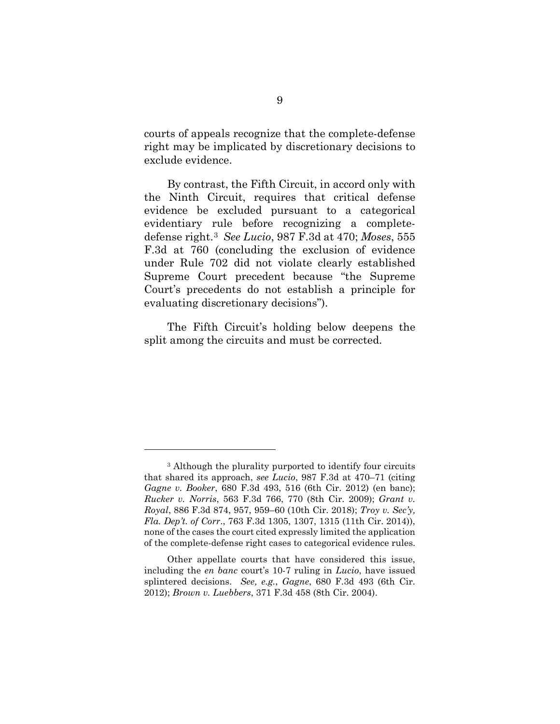courts of appeals recognize that the complete-defense right may be implicated by discretionary decisions to exclude evidence.

<span id="page-19-4"></span>By contrast, the Fifth Circuit, in accord only with the Ninth Circuit, requires that critical defense evidence be excluded pursuant to a categorical evidentiary rule before recognizing a completedefense right.[3](#page-19-7) *See Lucio*, 987 F.3d at 470; *Moses*, 555 F.3d at 760 (concluding the exclusion of evidence under Rule 702 did not violate clearly established Supreme Court precedent because "the Supreme Court's precedents do not establish a principle for evaluating discretionary decisions").

The Fifth Circuit's holding below deepens the split among the circuits and must be corrected.

<span id="page-19-7"></span><span id="page-19-6"></span><span id="page-19-5"></span><span id="page-19-3"></span><span id="page-19-2"></span><span id="page-19-1"></span><sup>&</sup>lt;sup>3</sup> Although the plurality purported to identify four circuits that shared its approach, *see Lucio*, 987 F.3d at 470–71 (citing *Gagne v. Booker*, 680 F.3d 493, 516 (6th Cir. 2012) (en banc); *Rucker v. Norris*, 563 F.3d 766, 770 (8th Cir. 2009); *Grant v. Royal*, 886 F.3d 874, 957, 959–60 (10th Cir. 2018); *Troy v. Sec'y, Fla. Dep't. of Corr*., 763 F.3d 1305, 1307, 1315 (11th Cir. 2014)), none of the cases the court cited expressly limited the application of the complete-defense right cases to categorical evidence rules.

<span id="page-19-0"></span>Other appellate courts that have considered this issue, including the *en banc* court's 10-7 ruling in *Lucio*, have issued splintered decisions. *See, e.g.*, *Gagne*, 680 F.3d 493 (6th Cir. 2012); *Brown v. Luebbers*, 371 F.3d 458 (8th Cir. 2004).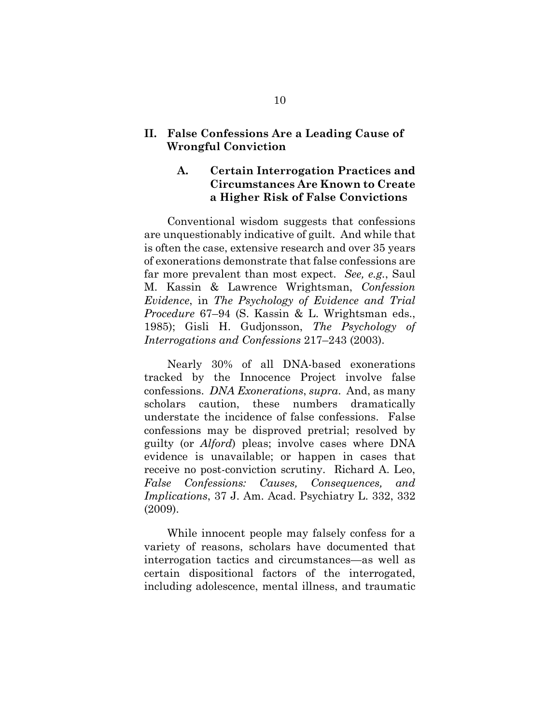#### <span id="page-20-0"></span>**II. False Confessions Are a Leading Cause of Wrongful Conviction**

### <span id="page-20-5"></span><span id="page-20-1"></span>**A. Certain Interrogation Practices and Circumstances Are Known to Create a Higher Risk of False Convictions**

Conventional wisdom suggests that confessions are unquestionably indicative of guilt. And while that is often the case, extensive research and over 35 years of exonerations demonstrate that false confessions are far more prevalent than most expect. *See, e.g.*, Saul M. Kassin & Lawrence Wrightsman, *Confession Evidence*, in *The Psychology of Evidence and Trial Procedure* 67–94 (S. Kassin & L. Wrightsman eds., 1985); Gisli H. Gudjonsson, *The Psychology of Interrogations and Confessions* 217–243 (2003).

<span id="page-20-3"></span><span id="page-20-2"></span>Nearly 30% of all DNA-based exonerations tracked by the Innocence Project involve false confessions. *DNA Exonerations*, *supra*. And, as many scholars caution, these numbers dramatically understate the incidence of false confessions. False confessions may be disproved pretrial; resolved by guilty (or *Alford*) pleas; involve cases where DNA evidence is unavailable; or happen in cases that receive no post-conviction scrutiny. Richard A. Leo, *False Confessions: Causes, Consequences, and Implications*, 37 J. Am. Acad. Psychiatry L. 332, 332 (2009).

<span id="page-20-4"></span>While innocent people may falsely confess for a variety of reasons, scholars have documented that interrogation tactics and circumstances—as well as certain dispositional factors of the interrogated, including adolescence, mental illness, and traumatic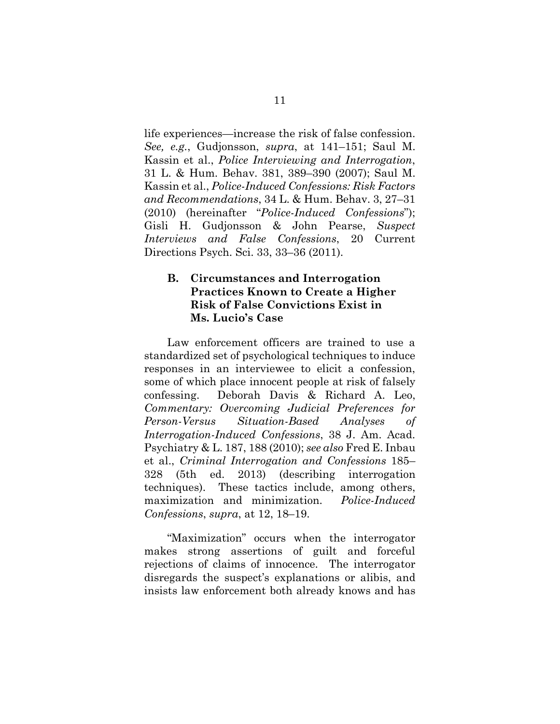<span id="page-21-5"></span><span id="page-21-3"></span>life experiences—increase the risk of false confession. *See, e.g.*, Gudjonsson, *supra*, at 141–151; Saul M. Kassin et al., *Police Interviewing and Interrogation*, 31 L. & Hum. Behav. 381, 389–390 (2007); Saul M. Kassin et al., *Police-Induced Confessions: Risk Factors and Recommendations*, 34 L. & Hum. Behav. 3, 27–31 (2010) (hereinafter "*Police-Induced Confessions*"); Gisli H. Gudjonsson & John Pearse, *Suspect Interviews and False Confessions*, 20 Current Directions Psych. Sci. 33, 33–36 (2011).

### <span id="page-21-6"></span><span id="page-21-4"></span><span id="page-21-0"></span>**B. Circumstances and Interrogation Practices Known to Create a Higher Risk of False Convictions Exist in Ms. Lucio's Case**

<span id="page-21-1"></span>Law enforcement officers are trained to use a standardized set of psychological techniques to induce responses in an interviewee to elicit a confession, some of which place innocent people at risk of falsely confessing. Deborah Davis & Richard A. Leo, *Commentary: Overcoming Judicial Preferences for Person-Versus Situation-Based Analyses of Interrogation-Induced Confessions*, 38 J. Am. Acad. Psychiatry & L. 187, 188 (2010); *see also* Fred E. Inbau et al., *Criminal Interrogation and Confessions* 185– 328 (5th ed. 2013) (describing interrogation techniques). These tactics include, among others, maximization and minimization. *Police-Induced Confessions*, *supra*, at 12, 18–19.

<span id="page-21-2"></span>"Maximization" occurs when the interrogator makes strong assertions of guilt and forceful rejections of claims of innocence. The interrogator disregards the suspect's explanations or alibis, and insists law enforcement both already knows and has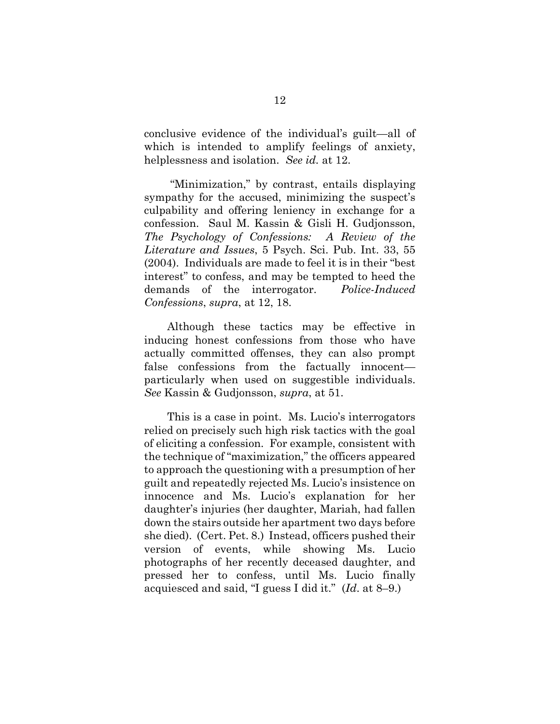conclusive evidence of the individual's guilt—all of which is intended to amplify feelings of anxiety, helplessness and isolation. *See id.* at 12.

<span id="page-22-0"></span>"Minimization," by contrast, entails displaying sympathy for the accused, minimizing the suspect's culpability and offering leniency in exchange for a confession. Saul M. Kassin & Gisli H. Gudjonsson, *The Psychology of Confessions: A Review of the Literature and Issues*, 5 Psych. Sci. Pub. Int. 33, 55 (2004). Individuals are made to feel it is in their "best interest" to confess, and may be tempted to heed the demands of the interrogator. *Police-Induced Confessions*, *supra*, at 12, 18.

Although these tactics may be effective in inducing honest confessions from those who have actually committed offenses, they can also prompt false confessions from the factually innocent particularly when used on suggestible individuals. *See* Kassin & Gudjonsson, *supra*, at 51.

This is a case in point. Ms. Lucio's interrogators relied on precisely such high risk tactics with the goal of eliciting a confession. For example, consistent with the technique of "maximization," the officers appeared to approach the questioning with a presumption of her guilt and repeatedly rejected Ms. Lucio's insistence on innocence and Ms. Lucio's explanation for her daughter's injuries (her daughter, Mariah, had fallen down the stairs outside her apartment two days before she died). (Cert. Pet. 8.) Instead, officers pushed their version of events, while showing Ms. Lucio photographs of her recently deceased daughter, and pressed her to confess, until Ms. Lucio finally acquiesced and said, "I guess I did it." (*Id*. at 8–9.)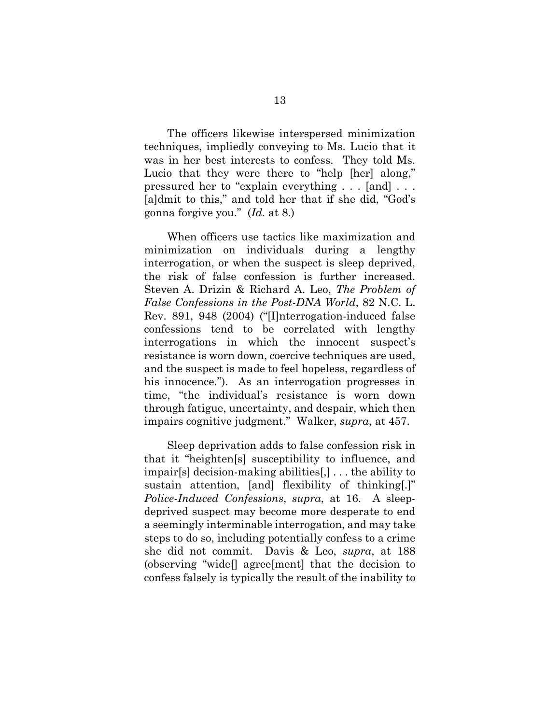The officers likewise interspersed minimization techniques, impliedly conveying to Ms. Lucio that it was in her best interests to confess. They told Ms. Lucio that they were there to "help [her] along," pressured her to "explain everything . . . [and] . . . [a]dmit to this," and told her that if she did, "God's gonna forgive you." (*Id.* at 8.)

<span id="page-23-2"></span>When officers use tactics like maximization and minimization on individuals during a lengthy interrogation, or when the suspect is sleep deprived, the risk of false confession is further increased. Steven A. Drizin & Richard A. Leo, *The Problem of False Confessions in the Post-DNA World*, 82 N.C. L. Rev. 891, 948 (2004) ("[I]nterrogation-induced false confessions tend to be correlated with lengthy interrogations in which the innocent suspect's resistance is worn down, coercive techniques are used, and the suspect is made to feel hopeless, regardless of his innocence."). As an interrogation progresses in time, "the individual's resistance is worn down through fatigue, uncertainty, and despair, which then impairs cognitive judgment." Walker, *supra*, at 457.

<span id="page-23-1"></span><span id="page-23-0"></span>Sleep deprivation adds to false confession risk in that it "heighten[s] susceptibility to influence, and impair[s] decision-making abilities[,] . . . the ability to sustain attention, [and] flexibility of thinking[.]" *Police-Induced Confessions*, *supra*, at 16. A sleepdeprived suspect may become more desperate to end a seemingly interminable interrogation, and may take steps to do so, including potentially confess to a crime she did not commit. Davis & Leo, *supra*, at 188 (observing "wide[] agree[ment] that the decision to confess falsely is typically the result of the inability to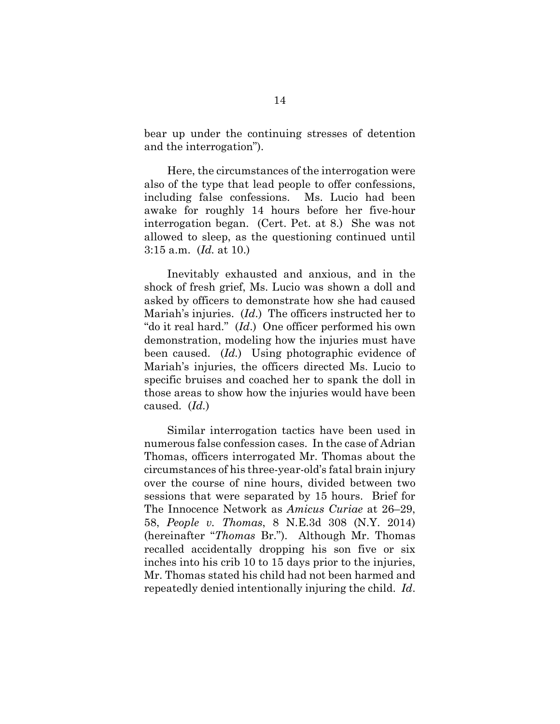bear up under the continuing stresses of detention and the interrogation").

Here, the circumstances of the interrogation were also of the type that lead people to offer confessions, including false confessions. Ms. Lucio had been awake for roughly 14 hours before her five-hour interrogation began. (Cert. Pet. at 8.) She was not allowed to sleep, as the questioning continued until 3:15 a.m. (*Id.* at 10.)

Inevitably exhausted and anxious, and in the shock of fresh grief, Ms. Lucio was shown a doll and asked by officers to demonstrate how she had caused Mariah's injuries. (*Id*.) The officers instructed her to "do it real hard." (*Id*.) One officer performed his own demonstration, modeling how the injuries must have been caused. (*Id.*) Using photographic evidence of Mariah's injuries, the officers directed Ms. Lucio to specific bruises and coached her to spank the doll in those areas to show how the injuries would have been caused. (*Id.*)

<span id="page-24-1"></span><span id="page-24-0"></span>Similar interrogation tactics have been used in numerous false confession cases. In the case of Adrian Thomas, officers interrogated Mr. Thomas about the circumstances of his three-year-old's fatal brain injury over the course of nine hours, divided between two sessions that were separated by 15 hours. Brief for The Innocence Network as *Amicus Curiae* at 26–29, 58, *People v. Thomas*, 8 N.E.3d 308 (N.Y. 2014) (hereinafter "*Thomas* Br."). Although Mr. Thomas recalled accidentally dropping his son five or six inches into his crib 10 to 15 days prior to the injuries, Mr. Thomas stated his child had not been harmed and repeatedly denied intentionally injuring the child. *Id*.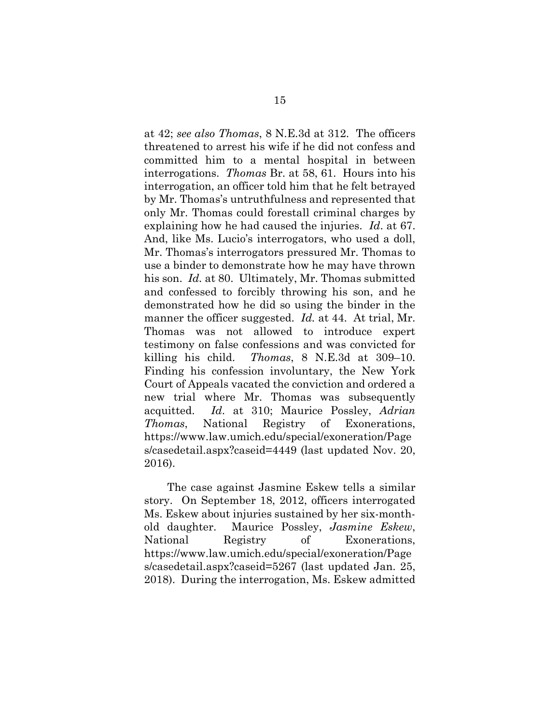<span id="page-25-1"></span><span id="page-25-0"></span>at 42; *see also Thomas*, 8 N.E.3d at 312. The officers threatened to arrest his wife if he did not confess and committed him to a mental hospital in between interrogations. *Thomas* Br. at 58, 61. Hours into his interrogation, an officer told him that he felt betrayed by Mr. Thomas's untruthfulness and represented that only Mr. Thomas could forestall criminal charges by explaining how he had caused the injuries. *Id*. at 67. And, like Ms. Lucio's interrogators, who used a doll, Mr. Thomas's interrogators pressured Mr. Thomas to use a binder to demonstrate how he may have thrown his son. *Id.* at 80. Ultimately, Mr. Thomas submitted and confessed to forcibly throwing his son, and he demonstrated how he did so using the binder in the manner the officer suggested. *Id.* at 44. At trial, Mr. Thomas was not allowed to introduce expert testimony on false confessions and was convicted for killing his child. *Thomas*, 8 N.E.3d at 309–10. Finding his confession involuntary, the New York Court of Appeals vacated the conviction and ordered a new trial where Mr. Thomas was subsequently acquitted. *Id*. at 310; Maurice Possley, *Adrian Thomas*, National Registry of Exonerations, https://www.law.umich.edu/special/exoneration/Page s/casedetail.aspx?caseid=4449 (last updated Nov. 20, 2016).

<span id="page-25-3"></span><span id="page-25-2"></span>The case against Jasmine Eskew tells a similar story. On September 18, 2012, officers interrogated Ms. Eskew about injuries sustained by her six-monthold daughter. Maurice Possley, *Jasmine Eskew*, National Registry of Exonerations, https://www.law.umich.edu/special/exoneration/Page s/casedetail.aspx?caseid=5267 (last updated Jan. 25, 2018). During the interrogation, Ms. Eskew admitted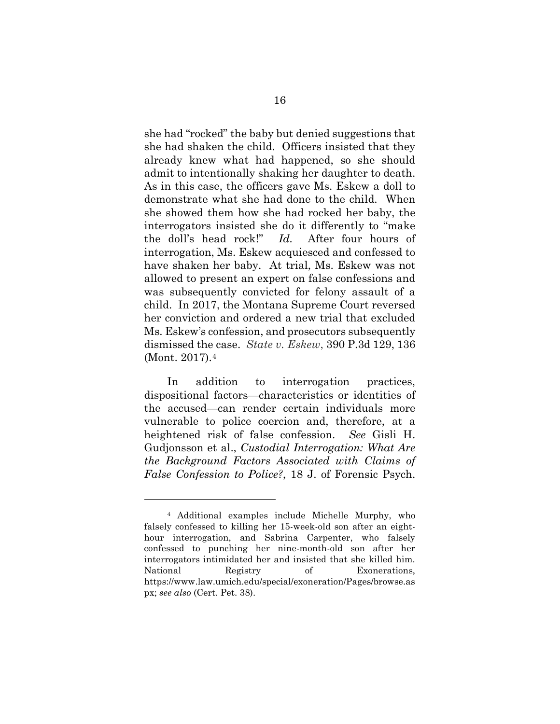<span id="page-26-2"></span>she had "rocked" the baby but denied suggestions that she had shaken the child. Officers insisted that they already knew what had happened, so she should admit to intentionally shaking her daughter to death. As in this case, the officers gave Ms. Eskew a doll to demonstrate what she had done to the child. When she showed them how she had rocked her baby, the interrogators insisted she do it differently to "make the doll's head rock!" *Id.* After four hours of interrogation, Ms. Eskew acquiesced and confessed to have shaken her baby. At trial, Ms. Eskew was not allowed to present an expert on false confessions and was subsequently convicted for felony assault of a child. In 2017, the Montana Supreme Court reversed her conviction and ordered a new trial that excluded Ms. Eskew's confession, and prosecutors subsequently dismissed the case. *State v. Eskew*, 390 P.3d 129, 136 (Mont. 2017).[4](#page-26-4)

<span id="page-26-1"></span><span id="page-26-0"></span>In addition to interrogation practices, dispositional factors—characteristics or identities of the accused—can render certain individuals more vulnerable to police coercion and, therefore, at a heightened risk of false confession. *See* Gisli H. Gudjonsson et al., *Custodial Interrogation: What Are the Background Factors Associated with Claims of False Confession to Police?*, 18 J. of Forensic Psych.

<span id="page-26-4"></span><span id="page-26-3"></span><sup>4</sup> Additional examples include Michelle Murphy, who falsely confessed to killing her 15-week-old son after an eighthour interrogation, and Sabrina Carpenter, who falsely confessed to punching her nine-month-old son after her interrogators intimidated her and insisted that she killed him. National Registry of Exonerations, https://www.law.umich.edu/special/exoneration/Pages/browse.as px; *see also* (Cert. Pet. 38).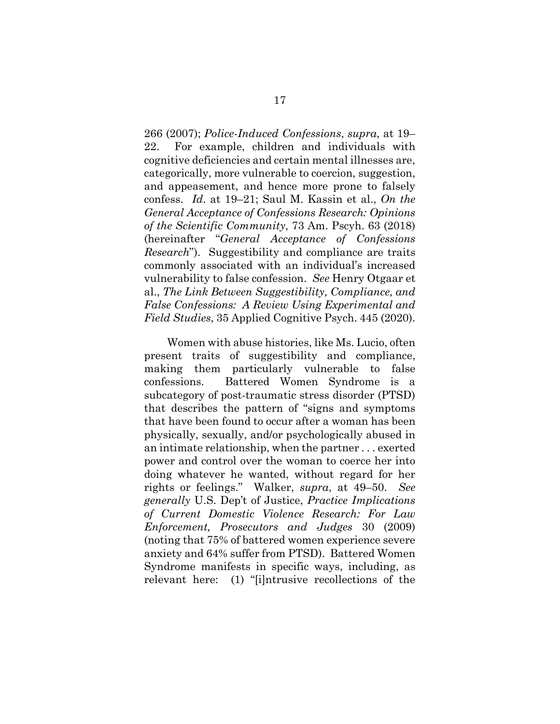<span id="page-27-2"></span>266 (2007); *Police-Induced Confessions*, *supra*, at 19– 22. For example, children and individuals with cognitive deficiencies and certain mental illnesses are, categorically, more vulnerable to coercion, suggestion, and appeasement, and hence more prone to falsely confess. *Id*. at 19–21; Saul M. Kassin et al., *On the General Acceptance of Confessions Research: Opinions of the Scientific Community*, 73 Am. Pscyh. 63 (2018) (hereinafter "*General Acceptance of Confessions Research*"). Suggestibility and compliance are traits commonly associated with an individual's increased vulnerability to false confession. *See* Henry Otgaar et al., *The Link Between Suggestibility, Compliance, and False Confessions: A Review Using Experimental and Field Studies*, 35 Applied Cognitive Psych. 445 (2020).

<span id="page-27-3"></span><span id="page-27-1"></span><span id="page-27-0"></span>Women with abuse histories, like Ms. Lucio, often present traits of suggestibility and compliance, making them particularly vulnerable to false confessions. Battered Women Syndrome is a subcategory of post-traumatic stress disorder (PTSD) that describes the pattern of "signs and symptoms that have been found to occur after a woman has been physically, sexually, and/or psychologically abused in an intimate relationship, when the partner . . . exerted power and control over the woman to coerce her into doing whatever he wanted, without regard for her rights or feelings." Walker, *supra*, at 49–50. *See generally* U.S. Dep't of Justice, *Practice Implications of Current Domestic Violence Research: For Law Enforcement, Prosecutors and Judges* 30 (2009) (noting that 75% of battered women experience severe anxiety and 64% suffer from PTSD). Battered Women Syndrome manifests in specific ways, including, as relevant here: (1) "[i]ntrusive recollections of the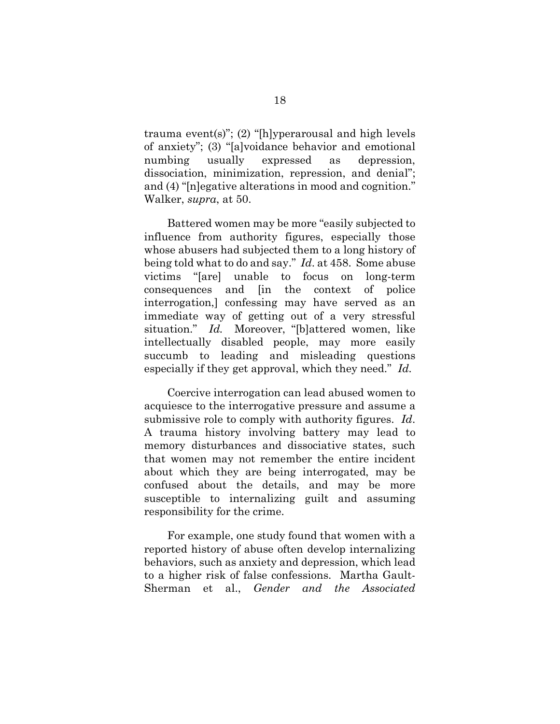trauma event(s)"; (2) "[h]yperarousal and high levels of anxiety"; (3) "[a]voidance behavior and emotional numbing usually expressed as depression, dissociation, minimization, repression, and denial"; and (4) "[n]egative alterations in mood and cognition." Walker, *supra*, at 50.

<span id="page-28-0"></span>Battered women may be more "easily subjected to influence from authority figures, especially those whose abusers had subjected them to a long history of being told what to do and say." *Id*. at 458. Some abuse victims "[are] unable to focus on long-term consequences and [in the context of police interrogation,] confessing may have served as an immediate way of getting out of a very stressful situation." *Id.* Moreover, "[b]attered women, like intellectually disabled people, may more easily succumb to leading and misleading questions especially if they get approval, which they need." *Id.*

Coercive interrogation can lead abused women to acquiesce to the interrogative pressure and assume a submissive role to comply with authority figures. *Id*. A trauma history involving battery may lead to memory disturbances and dissociative states, such that women may not remember the entire incident about which they are being interrogated, may be confused about the details, and may be more susceptible to internalizing guilt and assuming responsibility for the crime.

<span id="page-28-1"></span>For example, one study found that women with a reported history of abuse often develop internalizing behaviors, such as anxiety and depression, which lead to a higher risk of false confessions. Martha Gault-Sherman et al., *Gender and the Associated*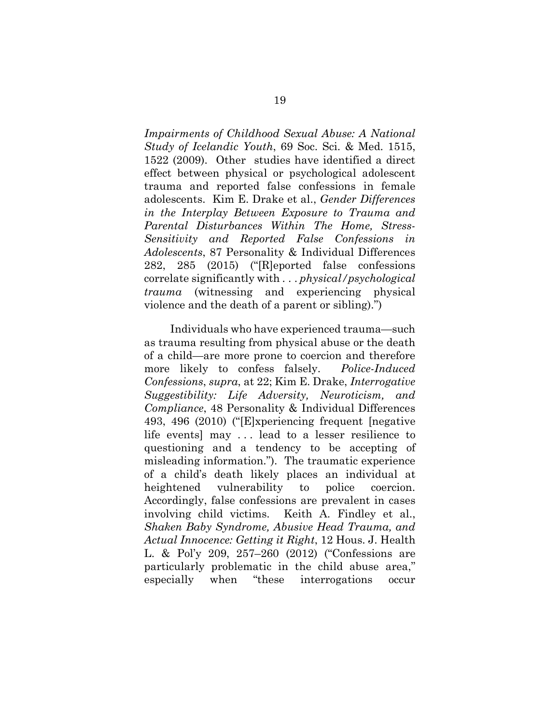<span id="page-29-2"></span>*Impairments of Childhood Sexual Abuse: A National Study of Icelandic Youth*, 69 Soc. Sci. & Med. 1515, 1522 (2009). Other studies have identified a direct effect between physical or psychological adolescent trauma and reported false confessions in female adolescents. Kim E. Drake et al., *Gender Differences in the Interplay Between Exposure to Trauma and Parental Disturbances Within The Home, Stress-Sensitivity and Reported False Confessions in Adolescents*, 87 Personality & Individual Differences 282, 285 (2015) ("[R]eported false confessions correlate significantly with . . . *physical/psychological trauma* (witnessing and experiencing physical violence and the death of a parent or sibling).")

<span id="page-29-1"></span><span id="page-29-0"></span>Individuals who have experienced trauma—such as trauma resulting from physical abuse or the death of a child—are more prone to coercion and therefore more likely to confess falsely. *Police-Induced Confessions*, *supra*, at 22; Kim E. Drake, *Interrogative Suggestibility: Life Adversity, Neuroticism, and Compliance*, 48 Personality & Individual Differences 493, 496 (2010) ("[E]xperiencing frequent [negative life events] may . . . lead to a lesser resilience to questioning and a tendency to be accepting of misleading information."). The traumatic experience of a child's death likely places an individual at heightened vulnerability to police coercion. Accordingly, false confessions are prevalent in cases involving child victims. Keith A. Findley et al., *Shaken Baby Syndrome, Abusive Head Trauma, and Actual Innocence: Getting it Right*, 12 Hous. J. Health L. & Pol'y 209, 257–260 (2012) ("Confessions are particularly problematic in the child abuse area," especially when "these interrogations occur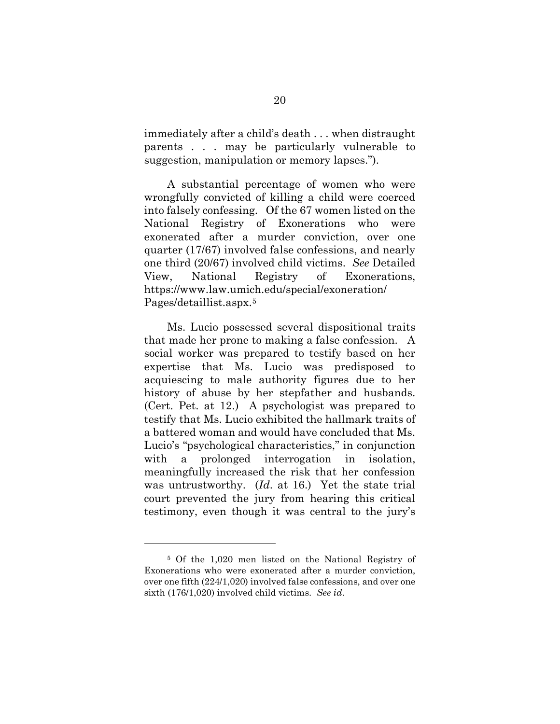immediately after a child's death . . . when distraught parents . . . may be particularly vulnerable to suggestion, manipulation or memory lapses.").

A substantial percentage of women who were wrongfully convicted of killing a child were coerced into falsely confessing. Of the 67 women listed on the National Registry of Exonerations who were exonerated after a murder conviction, over one quarter (17/67) involved false confessions, and nearly one third (20/67) involved child victims. *See* Detailed View, National Registry of Exonerations, https://www.law.umich.edu/special/exoneration/ Pages/detaillist.aspx.[5](#page-30-1)

<span id="page-30-0"></span>Ms. Lucio possessed several dispositional traits that made her prone to making a false confession. A social worker was prepared to testify based on her expertise that Ms. Lucio was predisposed to acquiescing to male authority figures due to her history of abuse by her stepfather and husbands. (Cert. Pet. at 12.) A psychologist was prepared to testify that Ms. Lucio exhibited the hallmark traits of a battered woman and would have concluded that Ms. Lucio's "psychological characteristics," in conjunction with a prolonged interrogation in isolation, meaningfully increased the risk that her confession was untrustworthy. (*Id*. at 16.) Yet the state trial court prevented the jury from hearing this critical testimony, even though it was central to the jury's

<span id="page-30-1"></span><sup>5</sup> Of the 1,020 men listed on the National Registry of Exonerations who were exonerated after a murder conviction, over one fifth (224/1,020) involved false confessions, and over one sixth (176/1,020) involved child victims. *See id*.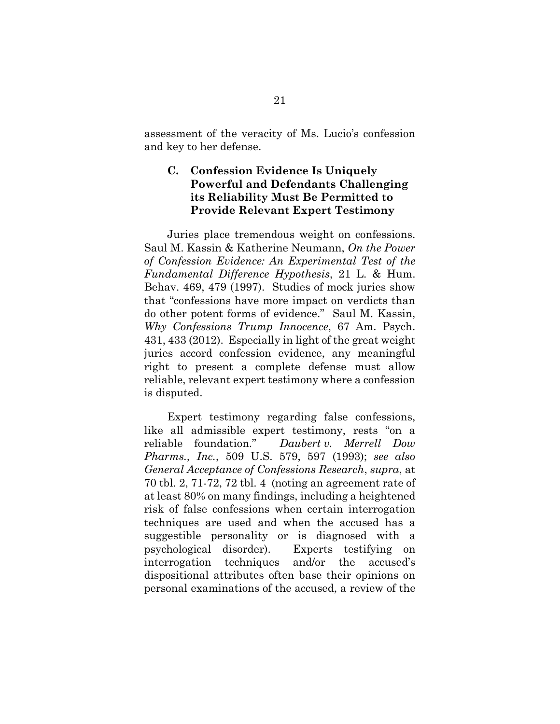assessment of the veracity of Ms. Lucio's confession and key to her defense.

### <span id="page-31-0"></span>**C. Confession Evidence Is Uniquely Powerful and Defendants Challenging its Reliability Must Be Permitted to Provide Relevant Expert Testimony**

<span id="page-31-3"></span><span id="page-31-2"></span>Juries place tremendous weight on confessions. Saul M. Kassin & Katherine Neumann, *On the Power of Confession Evidence: An Experimental Test of the Fundamental Difference Hypothesis*, 21 L. & Hum. Behav. 469, 479 (1997). Studies of mock juries show that "confessions have more impact on verdicts than do other potent forms of evidence." Saul M. Kassin, *Why Confessions Trump Innocence*, 67 Am. Psych. 431, 433 (2012). Especially in light of the great weight juries accord confession evidence, any meaningful right to present a complete defense must allow reliable, relevant expert testimony where a confession is disputed.

<span id="page-31-4"></span><span id="page-31-1"></span>Expert testimony regarding false confessions, like all admissible expert testimony, rests "on a reliable foundation." *Daubert v. Merrell Dow Pharms., Inc.*, 509 U.S. 579, 597 (1993); *see also General Acceptance of Confessions Research*, *supra*, at 70 tbl. 2, 71-72, 72 tbl. 4 (noting an agreement rate of at least 80% on many findings, including a heightened risk of false confessions when certain interrogation techniques are used and when the accused has a suggestible personality or is diagnosed with a psychological disorder). Experts testifying on interrogation techniques and/or the accused's dispositional attributes often base their opinions on personal examinations of the accused, a review of the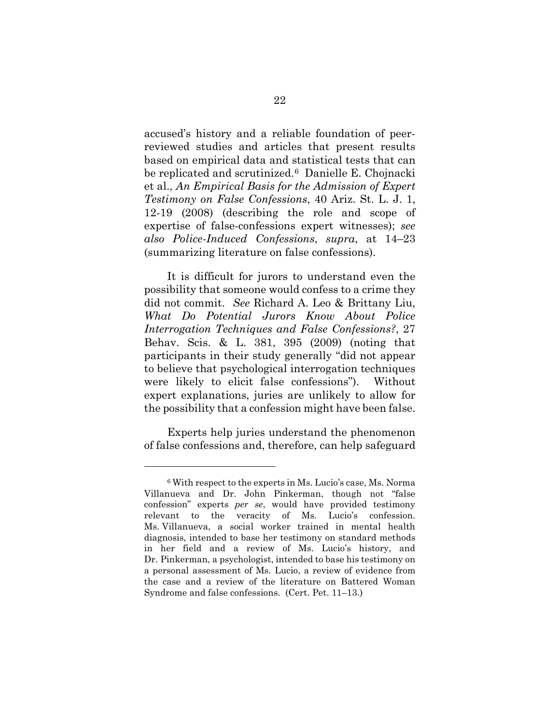<span id="page-32-0"></span>accused's history and a reliable foundation of peerreviewed studies and articles that present results based on empirical data and statistical tests that can be replicated and scrutinized.[6](#page-32-2) Danielle E. Chojnacki et al., *An Empirical Basis for the Admission of Expert Testimony on False Confessions*, 40 Ariz. St. L. J. 1, 12-19 (2008) (describing the role and scope of expertise of false-confessions expert witnesses); *see also Police-Induced Confessions*, *supra*, at 14–23 (summarizing literature on false confessions).

<span id="page-32-1"></span>It is difficult for jurors to understand even the possibility that someone would confess to a crime they did not commit. *See* Richard A. Leo & Brittany Liu, *What Do Potential Jurors Know About Police Interrogation Techniques and False Confessions?*, 27 Behav. Scis. & L. 381, 395 (2009) (noting that participants in their study generally "did not appear to believe that psychological interrogation techniques were likely to elicit false confessions"). Without expert explanations, juries are unlikely to allow for the possibility that a confession might have been false.

Experts help juries understand the phenomenon of false confessions and, therefore, can help safeguard

<span id="page-32-2"></span><sup>6</sup> With respect to the experts in Ms. Lucio's case, Ms. Norma Villanueva and Dr. John Pinkerman, though not "false confession" experts *per se*, would have provided testimony relevant to the veracity of Ms. Lucio's confession. Ms. Villanueva, a social worker trained in mental health diagnosis, intended to base her testimony on standard methods in her field and a review of Ms. Lucio's history, and Dr. Pinkerman, a psychologist, intended to base his testimony on a personal assessment of Ms. Lucio, a review of evidence from the case and a review of the literature on Battered Woman Syndrome and false confessions. (Cert. Pet. 11–13.)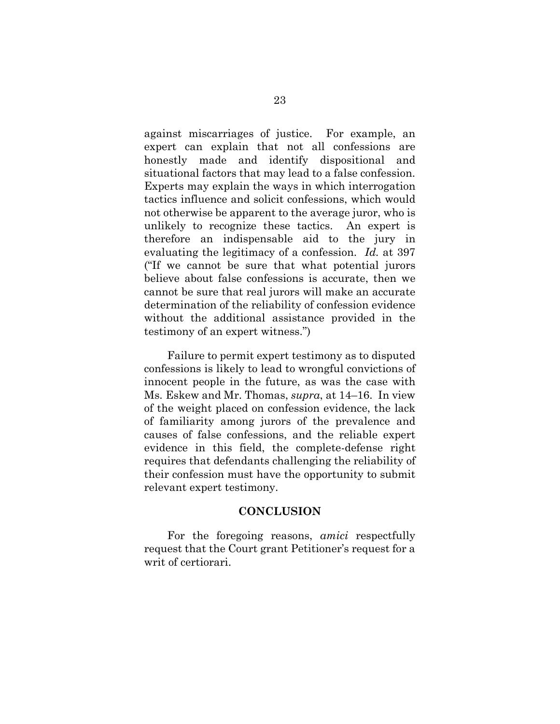against miscarriages of justice. For example, an expert can explain that not all confessions are honestly made and identify dispositional and situational factors that may lead to a false confession. Experts may explain the ways in which interrogation tactics influence and solicit confessions, which would not otherwise be apparent to the average juror, who is unlikely to recognize these tactics. An expert is therefore an indispensable aid to the jury in evaluating the legitimacy of a confession. *Id.* at 397 ("If we cannot be sure that what potential jurors believe about false confessions is accurate, then we cannot be sure that real jurors will make an accurate determination of the reliability of confession evidence without the additional assistance provided in the testimony of an expert witness.")

<span id="page-33-1"></span>Failure to permit expert testimony as to disputed confessions is likely to lead to wrongful convictions of innocent people in the future, as was the case with Ms. Eskew and Mr. Thomas, *supra*, at 14–16. In view of the weight placed on confession evidence, the lack of familiarity among jurors of the prevalence and causes of false confessions, and the reliable expert evidence in this field, the complete-defense right requires that defendants challenging the reliability of their confession must have the opportunity to submit relevant expert testimony.

#### **CONCLUSION**

<span id="page-33-0"></span>For the foregoing reasons, *amici* respectfully request that the Court grant Petitioner's request for a writ of certiorari.